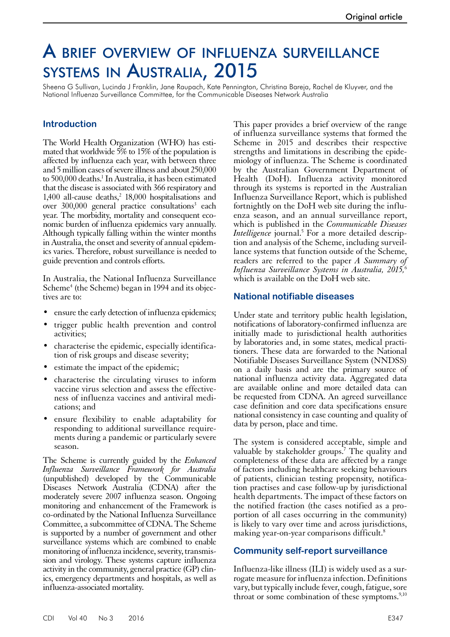# A brief overview of influenza surveillance systems in Australia, 2015

Sheena G Sullivan, Lucinda J Franklin, Jane Raupach, Kate Pennington, Christina Bareja, Rachel de Kluyver, and the National Influenza Surveillance Committee, for the Communicable Diseases Network Australia

#### **Introduction**

The World Health Organization (WHO) has estimated that worldwide 5% to 15% of the population is affected by influenza each year, with between three and 5 million cases of severe illness and about 250,000 to 500,000 deaths.<sup>1</sup> In Australia, it has been estimated that the disease is associated with 366 respiratory and 1,400 all-cause deaths, $2$  18,000 hospitalisations and over 300,000 general practice consultations<sup>3</sup> each year. The morbidity, mortality and consequent economic burden of influenza epidemics vary annually. Although typically falling within the winter months in Australia, the onset and severity of annual epidemics varies. Therefore, robust surveillance is needed to guide prevention and controls efforts.

In Australia, the National Influenza Surveillance Scheme<sup>4</sup> (the Scheme) began in 1994 and its objectives are to:

- ensure the early detection of influenza epidemics;
- trigger public health prevention and control activities;
- characterise the epidemic, especially identification of risk groups and disease severity;
- estimate the impact of the epidemic;
- characterise the circulating viruses to inform vaccine virus selection and assess the effectiveness of influenza vaccines and antiviral medications; and
- ensure flexibility to enable adaptability for responding to additional surveillance requirements during a pandemic or particularly severe season.

The Scheme is currently guided by the *Enhanced Influenza Surveillance Framework for Australia* (unpublished) developed by the Communicable Diseases Network Australia (CDNA) after the moderately severe 2007 influenza season. Ongoing monitoring and enhancement of the Framework is co-ordinated by the National Influenza Surveillance Committee, a subcommittee of CDNA. The Scheme is supported by a number of government and other surveillance systems which are combined to enable monitoring of influenza incidence, severity, transmission and virology. These systems capture influenza activity in the community, general practice (GP) clinics, emergency departments and hospitals, as well as influenza-associated mortality.

This paper provides a brief overview of the range of influenza surveillance systems that formed the Scheme in 2015 and describes their respective strengths and limitations in describing the epidemiology of influenza. The Scheme is coordinated by the Australian Government Department of Health (DoH). Influenza activity monitored through its systems is reported in the Australian Influenza Surveillance Report, which is published fortnightly on the DoH web site during the influenza season, and an annual surveillance report, which is published in the *Communicable Diseases*  Intelligence journal.<sup>5</sup> For a more detailed description and analysis of the Scheme, including surveillance systems that function outside of the Scheme, readers are referred to the paper *A Summary of Influenza Surveillance Systems in Australia, 2015,*<sup>6</sup> which is available on the DoH web site.

#### **National notifiable diseases**

Under state and territory public health legislation, notifications of laboratory-confirmed influenza are initially made to jurisdictional health authorities by laboratories and, in some states, medical practitioners. These data are forwarded to the National Notifiable Diseases Surveillance System (NNDSS) on a daily basis and are the primary source of national influenza activity data. Aggregated data are available online and more detailed data can be requested from CDNA. An agreed surveillance case definition and core data specifications ensure national consistency in case counting and quality of data by person, place and time.

The system is considered acceptable, simple and valuable by stakeholder groups.7 The quality and completeness of these data are affected by a range of factors including healthcare seeking behaviours of patients, clinician testing propensity, notification practises and case follow-up by jurisdictional health departments. The impact of these factors on the notified fraction (the cases notified as a pro- portion of all cases occurring in the community) is likely to vary over time and across jurisdictions, making year-on-year comparisons difficult.<sup>8</sup>

#### **Community self-report surveillance**

Influenza-like illness (ILI) is widely used as a surrogate measure for influenza infection. Definitions vary, but typically include fever, cough, fatigue, sore throat or some combination of these symptoms. $9,10$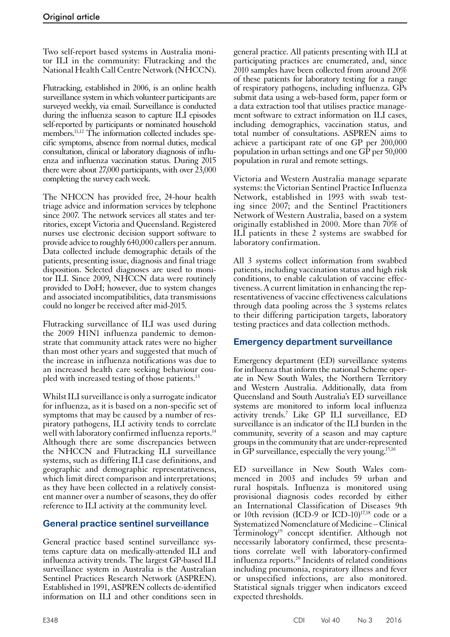Two self-report based systems in Australia monitor ILI in the community: Flutracking and the National Health Call Centre Network (NHCCN).

Flutracking, established in 2006, is an online health surveillance system in which volunteer participants are surveyed weekly, via email. Surveillance is conducted during the influenza season to capture ILI episodes self-reported by participants or nominated household members.11,12 The information collected includes specific symptoms, absence from normal duties, medical consultation, clinical or laboratory diagnosis of influenza and influenza vaccination status. During 2015 there were about 27,000 participants, with over 23,000 completing the survey each week.

The NHCCN has provided free, 24-hour health triage advice and information services by telephone since 2007. The network services all states and territories, except Victoria and Queensland. Registered nurses use electronic decision support software to provide advice to roughly 640,000 callers per annum. Data collected include demographic details of the patients, presenting issue, diagnosis and final triage disposition. Selected diagnoses are used to monitor ILI. Since 2009, NHCCN data were routinely provided to DoH; however, due to system changes and associated incompatibilities, data transmissions could no longer be received after mid-2015.

Flutracking surveillance of ILI was used during the 2009 H1N1 influenza pandemic to demonstrate that community attack rates were no higher than most other years and suggested that much of the increase in influenza notifications was due to an increased health care seeking behaviour coupled with increased testing of those patients.<sup>13</sup>

Whilst ILI surveillance is only a surrogate indicator for influenza, as it is based on a non-specific set of symptoms that may be caused by a number of res-<br>piratory pathogens, ILI activity tends to correlate well with laboratory confirmed influenza reports.<sup>14</sup> Although there are some discrepancies between the NHCCN and Flutracking ILI surveillance systems, such as differing ILI case definitions, and geographic and demographic representativeness, which limit direct comparison and interpretations; as they have been collected in a relatively consistent manner over a number of seasons, they do offer reference to ILI activity at the community level.

# **General practice sentinel surveillance**

General practice based sentinel surveillance systems capture data on medically-attended ILI and influenza activity trends. The largest GP-based ILI surveillance system in Australia is the Australian Sentinel Practices Research Network (ASPREN). Established in 1991, ASPREN collects de-identified information on ILI and other conditions seen in

general practice. All patients presenting with ILI at participating practices are enumerated, and, since 2010 samples have been collected from around 20% of these patients for laboratory testing for a range of respiratory pathogens, including influenza. GPs submit data using a web-based form, paper form or a data extraction tool that utilises practice management software to extract information on ILI cases, including demographics, vaccination status, and total number of consultations. ASPREN aims to achieve a participant rate of one GP per 200,000 population in urban settings and one GP per 50,000 population in rural and remote settings.

Victoria and Western Australia manage separate systems: the Victorian Sentinel Practice Influenza Network, established in 1993 with swab testing since 2007; and the Sentinel Practitioners Network of Western Australia, based on a system originally established in 2000. More than 70% of ILI patients in these 2 systems are swabbed for laboratory confirmation.

All 3 systems collect information from swabbed patients, including vaccination status and high risk conditions, to enable calculation of vaccine effectiveness. A current limitation in enhancing the representativeness of vaccine effectiveness calculations through data pooling across the 3 systems relates to their differing participation targets, laboratory testing practices and data collection methods.

# **Emergency department surveillance**

Emergency department (ED) surveillance systems for influenza that inform the national Scheme oper-<br>ate in New South Wales, the Northern Territory and Western Australia. Additionally, data from Queensland and South Australia's ED surveillance systems are monitored to inform local influenza activity trends.7 Like GP ILI surveillance, ED surveillance is an indicator of the ILI burden in the community, severity of a season and may capture groups in the community that are under-represented in GP surveillance, especially the very young.<sup>15,16</sup>

ED surveillance in New South Wales commenced in 2003 and includes 59 urban and rural hospitals. Influenza is monitored using provisional diagnosis codes recorded by either an International Classification of Diseases 9th or 10th revision (ICD-9 or ICD-10) $17,18$  code or a Systematized Nomenclature of Medicine – Clinical Terminology<sup>19</sup> concept identifier. Although not necessarily laboratory confirmed, these presentations correlate well with laboratory-confirmed influenza reports.20 Incidents of related conditions including pneumonia, respiratory illness and fever or unspecified infections, are also monitored. Statistical signals trigger when indicators exceed expected thresholds.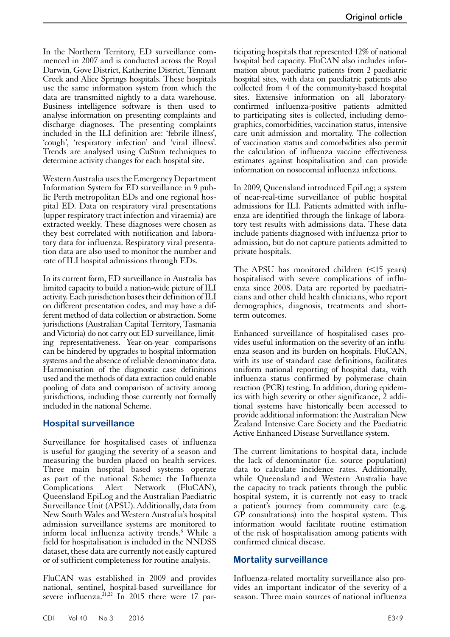In the Northern Territory, ED surveillance commenced in 2007 and is conducted across the Royal Darwin, Gove District, Katherine District, Tennant Creek and Alice Springs hospitals. These hospitals use the same information system from which the data are transmitted nightly to a data warehouse. Business intelligence software is then used to analyse information on presenting complaints and discharge diagnoses. The presenting complaints included in the ILI definition are: 'febrile illness', 'cough', 'respiratory infection' and 'viral illness'. Trends are analysed using CuSum techniques to determine activity changes for each hospital site.

Western Australia uses the Emergency Department Information System for ED surveillance in 9 public Perth metropolitan EDs and one regional hospital ED. Data on respiratory viral presentations (upper respiratory tract infection and viraemia) are extracted weekly. These diagnoses were chosen as they best correlated with notification and laboratory data for influenza. Respiratory viral presentation data are also used to monitor the number and rate of ILI hospital admissions through EDs.

In its current form, ED surveillance in Australia has limited capacity to build a nation-wide picture of ILI activity. Each jurisdiction bases their definition of ILI on different presentation codes, and may have a different method of data collection or abstraction. Some jurisdictions (Australian Capital Territory, Tasmania and Victoria) do not carry out ED surveillance, limiting representativeness. Year-on-year comparisons can be hindered by upgrades to hospital information systems and the absence of reliable denominator data. Harmonisation of the diagnostic case definitions used and the methods of data extraction could enable pooling of data and comparison of activity among jurisdictions, including those currently not formally included in the national Scheme.

#### **Hospital surveillance**

Surveillance for hospitalised cases of influenza is useful for gauging the severity of a season and measuring the burden placed on health services. Three main hospital based systems operate as part of the national Scheme: the Influenza Complications Alert Network (FluCAN), Queensland EpiLog and the Australian Paediatric Surveillance Unit (APSU). Additionally, data from New South Wales and Western Australia's hospital admission surveillance systems are monitored to inform local influenza activity trends.<sup>6</sup> While a field for hospitalisation is included in the NNDSS dataset, these data are currently not easily captured or of sufficient completeness for routine analysis.

FluCAN was established in 2009 and provides national, sentinel, hospital-based surveillance for severe influenza. $^{21,22}$  In 2015 there were 17 par-

ticipating hospitals that represented 12% of national hospital bed capacity. FluCAN also includes information about paediatric patients from 2 paediatric hospital sites, with data on paediatric patients also collected from 4 of the community-based hospital sites. Extensive information on all laboratoryconfirmed influenza-positive patients admitted to participating sites is collected, including demographics, comorbidities, vaccination status, intensive care unit admission and mortality. The collection of vaccination status and comorbidities also permit the calculation of influenza vaccine effectiveness estimates against hospitalisation and can provide information on nosocomial influenza infections.

In 2009, Queensland introduced EpiLog; a system of near-real-time surveillance of public hospital admissions for ILI. Patients admitted with influenza are identified through the linkage of laboratory test results with admissions data. These data include patients diagnosed with influenza prior to admission, but do not capture patients admitted to private hospitals.

The APSU has monitored children (<15 years) hospitalised with severe complications of influenza since 2008. Data are reported by paediatricians and other child health clinicians, who report demographics, diagnosis, treatments and shortterm outcomes.

Enhanced surveillance of hospitalised cases provides useful information on the severity of an influenza season and its burden on hospitals. FluCAN, with its use of standard case definitions, facilitates uniform national reporting of hospital data, with influenza status confirmed by polymerase chain reaction (PCR) testing. In addition, during epidem-<br>ics with high severity or other significance, 2 addi-<br>tional systems have historically been accessed to provide additional information: the Australian New Zealand Intensive Care Society and the Paediatric Active Enhanced Disease Surveillance system.

The current limitations to hospital data, include the lack of denominator (i.e. source population) data to calculate incidence rates. Additionally, while Queensland and Western Australia have the capacity to track patients through the public hospital system, it is currently not easy to track a patient's journey from community care (e.g. GP consultations) into the hospital system. This information would facilitate routine estimation of the risk of hospitalisation among patients with confirmed clinical disease.

#### **Mortality surveillance**

Influenza-related mortality surveillance also provides an important indicator of the severity of a season. Three main sources of national influenza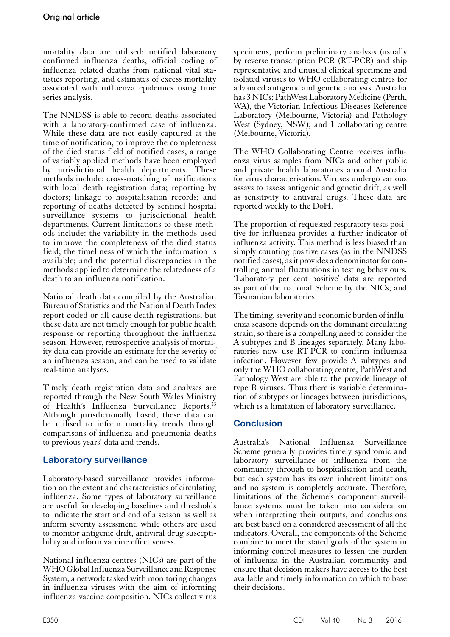mortality data are utilised: notified laboratory confirmed influenza deaths, official coding of influenza related deaths from national vital statistics reporting, and estimates of excess mortality associated with influenza epidemics using time series analysis.

The NNDSS is able to record deaths associated with a laboratory-confirmed case of influenza. While these data are not easily captured at the time of notification, to improve the completeness of the died status field of notified cases, a range of variably applied methods have been employed by jurisdictional health departments. These methods include: cross-matching of notifications with local death registration data; reporting by doctors; linkage to hospitalisation records; and reporting of deaths detected by sentinel hospital surveillance systems to jurisdictional health departments. Current limitations to these methods include: the variability in the methods used to improve the completeness of the died status field; the timeliness of which the information is available; and the potential discrepancies in the methods applied to determine the relatedness of a death to an influenza notification.

National death data compiled by the Australian Bureau of Statistics and the National Death Index report coded or all-cause death registrations, but these data are not timely enough for public health response or reporting throughout the influenza season. However, retrospective analysis of mortality data can provide an estimate for the severity of an influenza season, and can be used to validate real-time analyses.

Timely death registration data and analyses are reported through the New South Wales Ministry of Health's Influenza Surveillance Reports.<sup>23</sup> Although jurisdictionally based, these data can be utilised to inform mortality trends through comparisons of influenza and pneumonia deaths to previous years' data and trends.

## **Laboratory surveillance**

Laboratory-based surveillance provides information on the extent and characteristics of circulating influenza. Some types of laboratory surveillance are useful for developing baselines and thresholds to indicate the start and end of a season as well as inform severity assessment, while others are used to monitor antigenic drift, antiviral drug suscepti- bility and inform vaccine effectiveness.

National influenza centres (NICs) are part of the WHO Global Influenza Surveillance and Response System, a network tasked with monitoring changes in influenza viruses with the aim of informing influenza vaccine composition. NICs collect virus

specimens, perform preliminary analysis (usually by reverse transcription PCR (RT-PCR) and ship representative and unusual clinical specimens and isolated viruses to WHO collaborating centres for advanced antigenic and genetic analysis. Australia has 3 NICs; PathWest Laboratory Medicine (Perth, WA), the Victorian Infectious Diseases Reference Laboratory (Melbourne, Victoria) and Pathology West (Sydney, NSW); and 1 collaborating centre (Melbourne, Victoria).

The WHO Collaborating Centre receives influenza virus samples from NICs and other public and private health laboratories around Australia for virus characterisation. Viruses undergo various assays to assess antigenic and genetic drift, as well as sensitivity to antiviral drugs. These data are reported weekly to the DoH.

The proportion of requested respiratory tests positive for influenza provides a further indicator of influenza activity. This method is less biased than simply counting positive cases (as in the NNDSS notified cases), as it provides a denominator for controlling annual fluctuations in testing behaviours. 'Laboratory per cent positive' data are reported as part of the national Scheme by the NICs, and Tasmanian laboratories.

The timing, severity and economic burden of influenza seasons depends on the dominant circulating strain, so there is a compelling need to consider the A subtypes and B lineages separately. Many laboratories now use RT-PCR to confirm influenza infection. However few provide A subtypes and only the WHO collaborating centre, PathWest and Pathology West are able to the provide lineage of type B viruses. Thus there is variable determina- tion of subtypes or lineages between jurisdictions, which is a limitation of laboratory surveillance.

# **Conclusion**

Australia's National Influenza Surveillance Scheme generally provides timely syndromic and laboratory surveillance of influenza from the community through to hospitalisation and death, but each system has its own inherent limitations and no system is completely accurate. Therefore, limitations of the Scheme's component surveillance systems must be taken into consideration when interpreting their outputs, and conclusions are best based on a considered assessment of all the indicators. Overall, the components of the Scheme combine to meet the stated goals of the system in informing control measures to lessen the burden of influenza in the Australian community and ensure that decision makers have access to the best available and timely information on which to base their decisions.